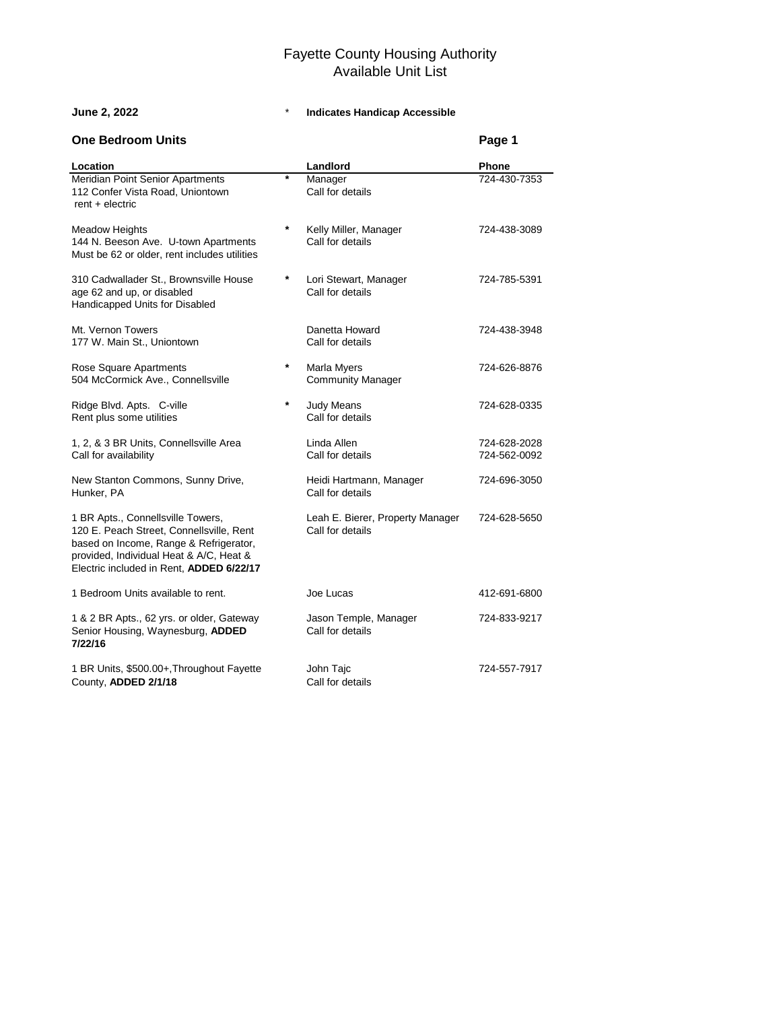| <b>One Bedroom Units</b>                                                                                                                                                                                       |          |                                                      | Page 1                       |
|----------------------------------------------------------------------------------------------------------------------------------------------------------------------------------------------------------------|----------|------------------------------------------------------|------------------------------|
| Location                                                                                                                                                                                                       |          | Landlord                                             | <b>Phone</b>                 |
| Meridian Point Senior Apartments<br>112 Confer Vista Road, Uniontown<br>$rent + electric$                                                                                                                      | $\ast$   | Manager<br>Call for details                          | 724-430-7353                 |
| <b>Meadow Heights</b><br>144 N. Beeson Ave. U-town Apartments<br>Must be 62 or older, rent includes utilities                                                                                                  | $\star$  | Kelly Miller, Manager<br>Call for details            | 724-438-3089                 |
| 310 Cadwallader St., Brownsville House<br>age 62 and up, or disabled<br>Handicapped Units for Disabled                                                                                                         | $\star$  | Lori Stewart, Manager<br>Call for details            | 724-785-5391                 |
| Mt. Vernon Towers<br>177 W. Main St., Uniontown                                                                                                                                                                |          | Danetta Howard<br>Call for details                   | 724-438-3948                 |
| Rose Square Apartments<br>504 McCormick Ave., Connellsville                                                                                                                                                    | $^\star$ | Marla Myers<br><b>Community Manager</b>              | 724-626-8876                 |
| Ridge Blvd. Apts. C-ville<br>Rent plus some utilities                                                                                                                                                          | $\star$  | <b>Judy Means</b><br>Call for details                | 724-628-0335                 |
| 1, 2, & 3 BR Units, Connellsville Area<br>Call for availability                                                                                                                                                |          | Linda Allen<br>Call for details                      | 724-628-2028<br>724-562-0092 |
| New Stanton Commons, Sunny Drive,<br>Hunker, PA                                                                                                                                                                |          | Heidi Hartmann, Manager<br>Call for details          | 724-696-3050                 |
| 1 BR Apts., Connellsville Towers,<br>120 E. Peach Street, Connellsville, Rent<br>based on Income, Range & Refrigerator,<br>provided, Individual Heat & A/C, Heat &<br>Electric included in Rent, ADDED 6/22/17 |          | Leah E. Bierer, Property Manager<br>Call for details | 724-628-5650                 |
| 1 Bedroom Units available to rent.                                                                                                                                                                             |          | Joe Lucas                                            | 412-691-6800                 |
| 1 & 2 BR Apts., 62 yrs. or older, Gateway<br>Senior Housing, Waynesburg, ADDED<br>7/22/16                                                                                                                      |          | Jason Temple, Manager<br>Call for details            | 724-833-9217                 |
| 1 BR Units, \$500.00+, Throughout Fayette<br>County, ADDED 2/1/18                                                                                                                                              |          | John Tajc<br>Call for details                        | 724-557-7917                 |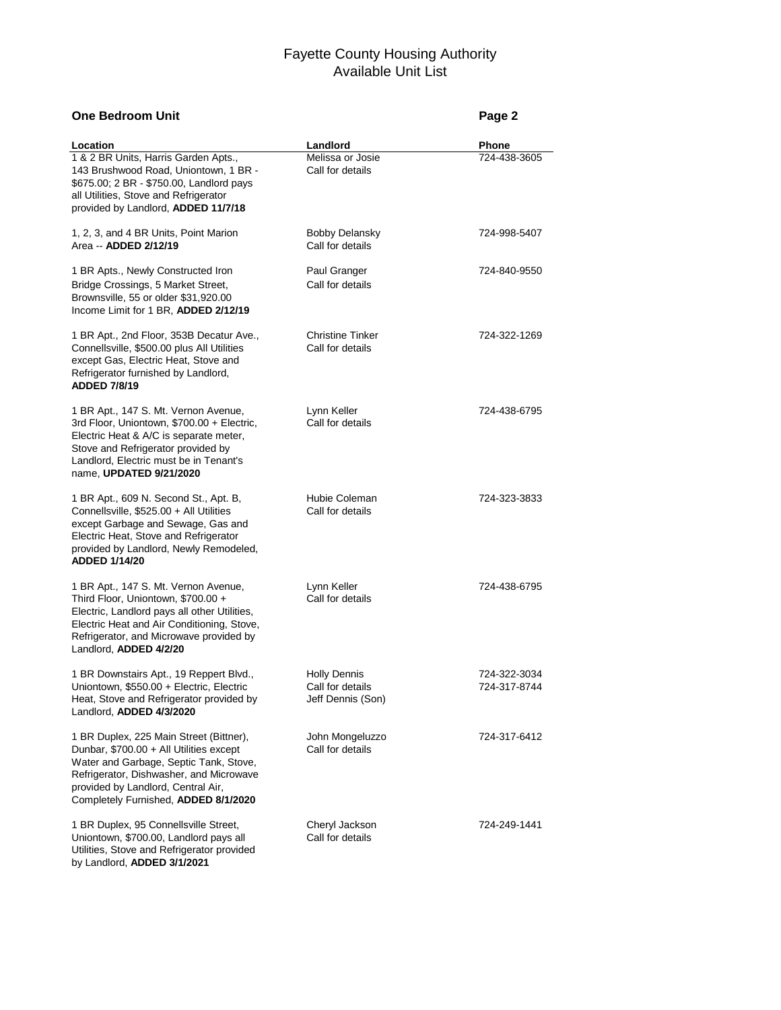# **One Bedroom Unit Page 2**

by Landlord, **ADDED 3/1/2021**

| Location                                                                                                                                                                                                                                              | Landlord                                                     | Phone                        |
|-------------------------------------------------------------------------------------------------------------------------------------------------------------------------------------------------------------------------------------------------------|--------------------------------------------------------------|------------------------------|
| 1 & 2 BR Units, Harris Garden Apts.,<br>143 Brushwood Road, Uniontown, 1 BR -<br>\$675.00; 2 BR - \$750.00, Landlord pays<br>all Utilities, Stove and Refrigerator<br>provided by Landlord, ADDED 11/7/18                                             | Melissa or Josie<br>Call for details                         | 724-438-3605                 |
| 1, 2, 3, and 4 BR Units, Point Marion<br>Area -- <b>ADDED 2/12/19</b>                                                                                                                                                                                 | <b>Bobby Delansky</b><br>Call for details                    | 724-998-5407                 |
| 1 BR Apts., Newly Constructed Iron<br>Bridge Crossings, 5 Market Street,<br>Brownsville, 55 or older \$31,920.00<br>Income Limit for 1 BR, ADDED 2/12/19                                                                                              | Paul Granger<br>Call for details                             | 724-840-9550                 |
| 1 BR Apt., 2nd Floor, 353B Decatur Ave.,<br>Connellsville, \$500.00 plus All Utilities<br>except Gas, Electric Heat, Stove and<br>Refrigerator furnished by Landlord,<br><b>ADDED 7/8/19</b>                                                          | <b>Christine Tinker</b><br>Call for details                  | 724-322-1269                 |
| 1 BR Apt., 147 S. Mt. Vernon Avenue,<br>3rd Floor, Uniontown, \$700.00 + Electric,<br>Electric Heat & A/C is separate meter,<br>Stove and Refrigerator provided by<br>Landlord, Electric must be in Tenant's<br>name, UPDATED 9/21/2020               | Lynn Keller<br>Call for details                              | 724-438-6795                 |
| 1 BR Apt., 609 N. Second St., Apt. B,<br>Connellsville, \$525.00 + All Utilities<br>except Garbage and Sewage, Gas and<br>Electric Heat, Stove and Refrigerator<br>provided by Landlord, Newly Remodeled,<br><b>ADDED 1/14/20</b>                     | Hubie Coleman<br>Call for details                            | 724-323-3833                 |
| 1 BR Apt., 147 S. Mt. Vernon Avenue,<br>Third Floor, Uniontown, \$700.00 +<br>Electric, Landlord pays all other Utilities,<br>Electric Heat and Air Conditioning, Stove,<br>Refrigerator, and Microwave provided by<br>Landlord, ADDED 4/2/20         | Lynn Keller<br>Call for details                              | 724-438-6795                 |
| 1 BR Downstairs Apt., 19 Reppert Blvd.,<br>Uniontown, \$550.00 + Electric, Electric<br>Heat, Stove and Refrigerator provided by<br>Landlord, ADDED 4/3/2020                                                                                           | <b>Holly Dennis</b><br>Call for details<br>Jeff Dennis (Son) | 724-322-3034<br>724-317-8744 |
| 1 BR Duplex, 225 Main Street (Bittner),<br>Dunbar, \$700.00 + All Utilities except<br>Water and Garbage, Septic Tank, Stove,<br>Refrigerator, Dishwasher, and Microwave<br>provided by Landlord, Central Air,<br>Completely Furnished, ADDED 8/1/2020 | John Mongeluzzo<br>Call for details                          | 724-317-6412                 |
| 1 BR Duplex, 95 Connellsville Street,<br>Uniontown, \$700.00, Landlord pays all<br>Utilities, Stove and Refrigerator provided                                                                                                                         | Cheryl Jackson<br>Call for details                           | 724-249-1441                 |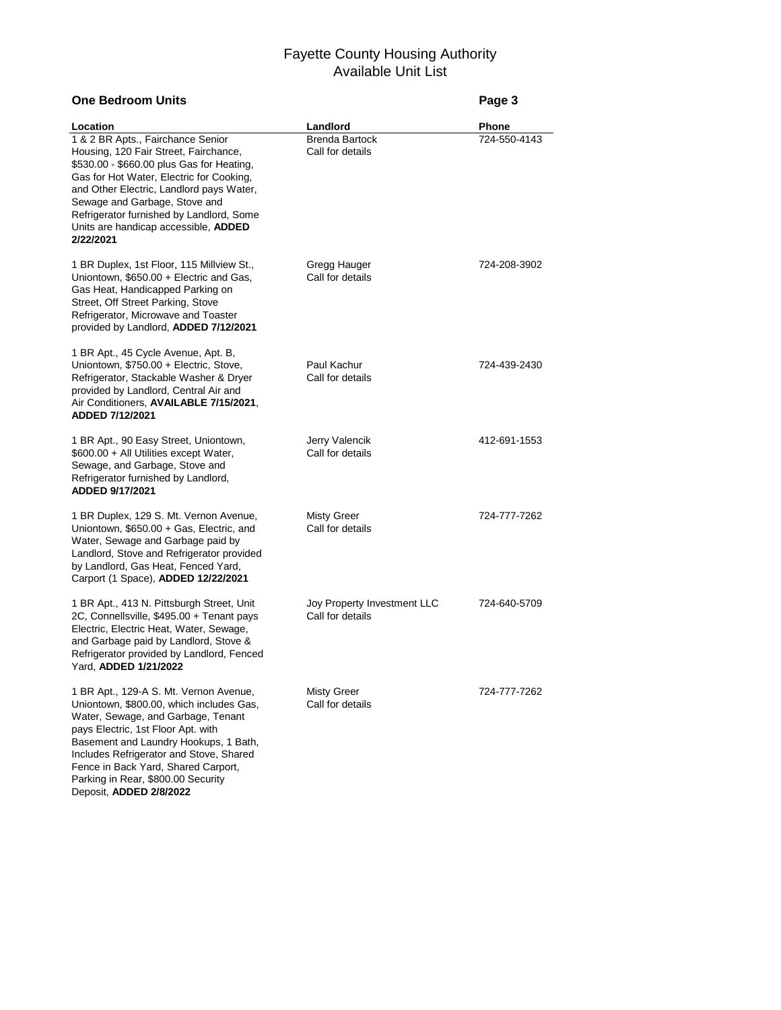| <b>One Bedroom Units</b>                                                                                                                                                                                                                                                                                                        |                                                       | Page 3                       |
|---------------------------------------------------------------------------------------------------------------------------------------------------------------------------------------------------------------------------------------------------------------------------------------------------------------------------------|-------------------------------------------------------|------------------------------|
| Location<br>1 & 2 BR Apts., Fairchance Senior<br>Housing, 120 Fair Street, Fairchance,<br>\$530.00 - \$660.00 plus Gas for Heating,<br>Gas for Hot Water, Electric for Cooking,<br>and Other Electric, Landlord pays Water,                                                                                                     | Landlord<br><b>Brenda Bartock</b><br>Call for details | <b>Phone</b><br>724-550-4143 |
| Sewage and Garbage, Stove and<br>Refrigerator furnished by Landlord, Some<br>Units are handicap accessible, ADDED<br>2/22/2021                                                                                                                                                                                                  |                                                       |                              |
| 1 BR Duplex, 1st Floor, 115 Millview St.,<br>Uniontown, \$650.00 + Electric and Gas,<br>Gas Heat, Handicapped Parking on<br>Street, Off Street Parking, Stove<br>Refrigerator, Microwave and Toaster<br>provided by Landlord, ADDED 7/12/2021                                                                                   | Gregg Hauger<br>Call for details                      | 724-208-3902                 |
| 1 BR Apt., 45 Cycle Avenue, Apt. B,<br>Uniontown, \$750.00 + Electric, Stove,<br>Refrigerator, Stackable Washer & Dryer<br>provided by Landlord, Central Air and<br>Air Conditioners, AVAILABLE 7/15/2021,<br>ADDED 7/12/2021                                                                                                   | Paul Kachur<br>Call for details                       | 724-439-2430                 |
| 1 BR Apt., 90 Easy Street, Uniontown,<br>\$600.00 + All Utilities except Water,<br>Sewage, and Garbage, Stove and<br>Refrigerator furnished by Landlord,<br>ADDED 9/17/2021                                                                                                                                                     | Jerry Valencik<br>Call for details                    | 412-691-1553                 |
| 1 BR Duplex, 129 S. Mt. Vernon Avenue,<br>Uniontown, \$650.00 + Gas, Electric, and<br>Water, Sewage and Garbage paid by<br>Landlord, Stove and Refrigerator provided<br>by Landlord, Gas Heat, Fenced Yard,<br>Carport (1 Space), ADDED 12/22/2021                                                                              | Misty Greer<br>Call for details                       | 724-777-7262                 |
| 1 BR Apt., 413 N. Pittsburgh Street, Unit<br>2C, Connellsville, \$495.00 + Tenant pays<br>Electric, Electric Heat, Water, Sewage,<br>and Garbage paid by Landlord, Stove &<br>Refrigerator provided by Landlord, Fenced<br>Yard, <b>ADDED 1/21/2022</b>                                                                         | Joy Property Investment LLC<br>Call for details       | 724-640-5709                 |
| 1 BR Apt., 129-A S. Mt. Vernon Avenue,<br>Uniontown, \$800.00, which includes Gas,<br>Water, Sewage, and Garbage, Tenant<br>pays Electric, 1st Floor Apt. with<br>Basement and Laundry Hookups, 1 Bath,<br>Includes Refrigerator and Stove, Shared<br>Fence in Back Yard, Shared Carport,<br>Parking in Rear, \$800.00 Security | Misty Greer<br>Call for details                       | 724-777-7262                 |

Deposit, **ADDED 2/8/2022**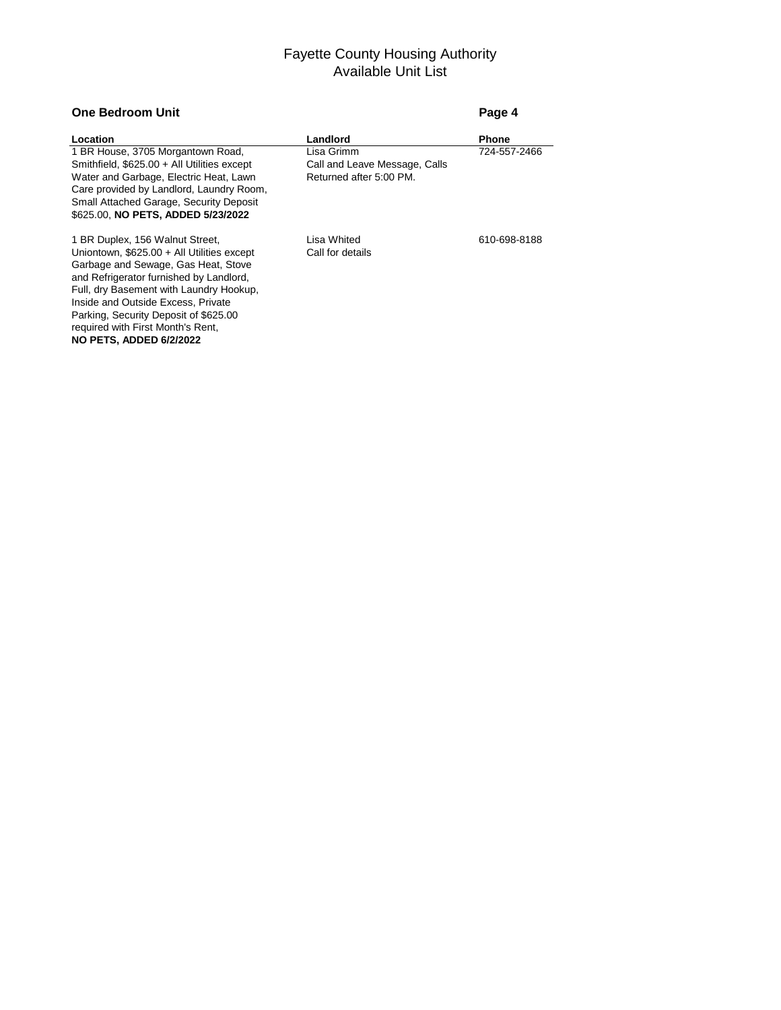### **One Bedroom Unit Page 4**

| Location                                    | Landlord                      | <b>Phone</b> |
|---------------------------------------------|-------------------------------|--------------|
| 1 BR House, 3705 Morgantown Road,           | Lisa Grimm                    | 724-557-2466 |
| Smithfield, \$625.00 + All Utilities except | Call and Leave Message, Calls |              |
| Water and Garbage, Electric Heat, Lawn      | Returned after 5:00 PM.       |              |
| Care provided by Landlord, Laundry Room,    |                               |              |
| Small Attached Garage, Security Deposit     |                               |              |
| \$625.00, NO PETS, ADDED 5/23/2022          |                               |              |
| 1 BR Duplex, 156 Walnut Street,             | Lisa Whited                   | 610-698-8188 |
| Uniontown, \$625.00 + All Utilities except  | Call for details              |              |
| Garbage and Sewage, Gas Heat, Stove         |                               |              |
| and Refrigerator furnished by Landlord,     |                               |              |
| Full, dry Basement with Laundry Hookup,     |                               |              |
| Inside and Outside Excess, Private          |                               |              |
| Parking, Security Deposit of \$625.00       |                               |              |
| required with First Month's Rent,           |                               |              |

**NO PETS, ADDED 6/2/2022**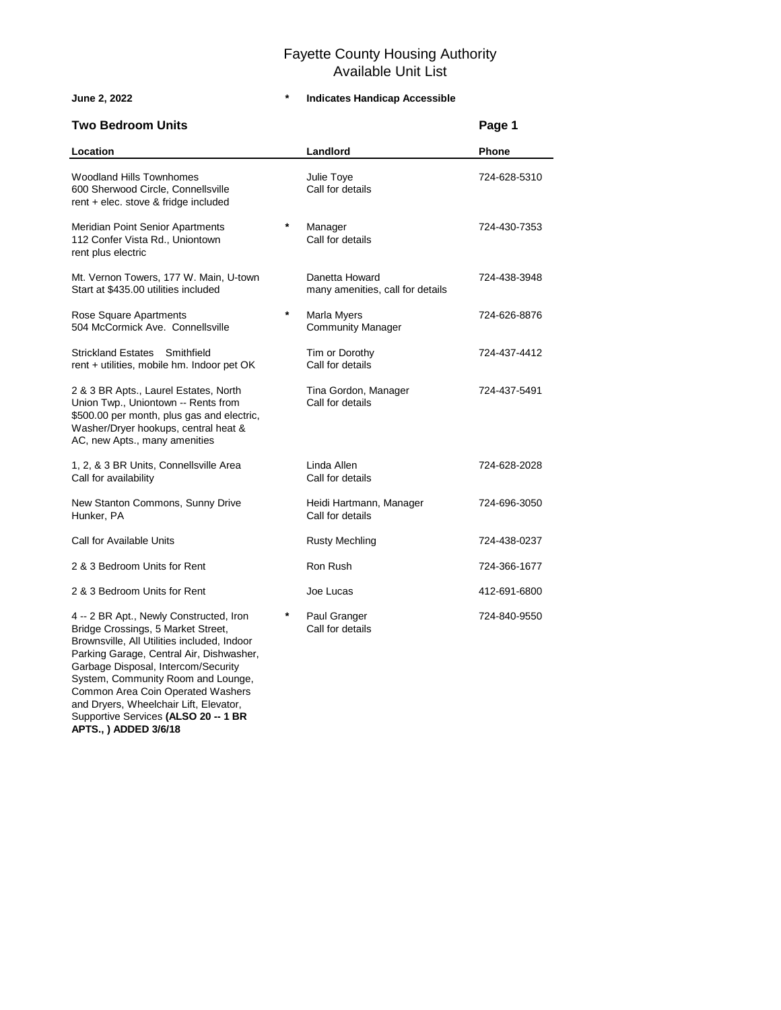Brownsville, All Utilities included, Indoor Parking Garage, Central Air, Dishwasher, Garbage Disposal, Intercom/Security System, Community Room and Lounge, Common Area Coin Operated Washers and Dryers, Wheelchair Lift, Elevator, Supportive Services **(ALSO 20 -- 1 BR**

**APTS., ) ADDED 3/6/18**

| <b>Two Bedroom Units</b>                                                                                                                                                                            |   |                                                    | Page 1       |
|-----------------------------------------------------------------------------------------------------------------------------------------------------------------------------------------------------|---|----------------------------------------------------|--------------|
| Location                                                                                                                                                                                            |   | Landlord                                           | <b>Phone</b> |
| <b>Woodland Hills Townhomes</b><br>600 Sherwood Circle, Connellsville<br>rent $+$ elec. stove & fridge included                                                                                     |   | Julie Toye<br>Call for details                     | 724-628-5310 |
| Meridian Point Senior Apartments<br>112 Confer Vista Rd., Uniontown<br>rent plus electric                                                                                                           | * | Manager<br>Call for details                        | 724-430-7353 |
| Mt. Vernon Towers, 177 W. Main, U-town<br>Start at \$435.00 utilities included                                                                                                                      |   | Danetta Howard<br>many amenities, call for details | 724-438-3948 |
| Rose Square Apartments<br>504 McCormick Ave. Connellsville                                                                                                                                          | * | Marla Myers<br><b>Community Manager</b>            | 724-626-8876 |
| Strickland Estates Smithfield<br>rent + utilities, mobile hm. Indoor pet OK                                                                                                                         |   | Tim or Dorothy<br>Call for details                 | 724-437-4412 |
| 2 & 3 BR Apts., Laurel Estates, North<br>Union Twp., Uniontown -- Rents from<br>\$500.00 per month, plus gas and electric,<br>Washer/Dryer hookups, central heat &<br>AC, new Apts., many amenities |   | Tina Gordon, Manager<br>Call for details           | 724-437-5491 |
| 1, 2, & 3 BR Units, Connellsville Area<br>Call for availability                                                                                                                                     |   | Linda Allen<br>Call for details                    | 724-628-2028 |
| New Stanton Commons, Sunny Drive<br>Hunker, PA                                                                                                                                                      |   | Heidi Hartmann, Manager<br>Call for details        | 724-696-3050 |
| Call for Available Units                                                                                                                                                                            |   | <b>Rusty Mechling</b>                              | 724-438-0237 |
| 2 & 3 Bedroom Units for Rent                                                                                                                                                                        |   | Ron Rush                                           | 724-366-1677 |
| 2 & 3 Bedroom Units for Rent                                                                                                                                                                        |   | Joe Lucas                                          | 412-691-6800 |
| 4 -- 2 BR Apt., Newly Constructed, Iron<br>Bridge Crossings, 5 Market Street,                                                                                                                       | * | Paul Granger<br>Call for details                   | 724-840-9550 |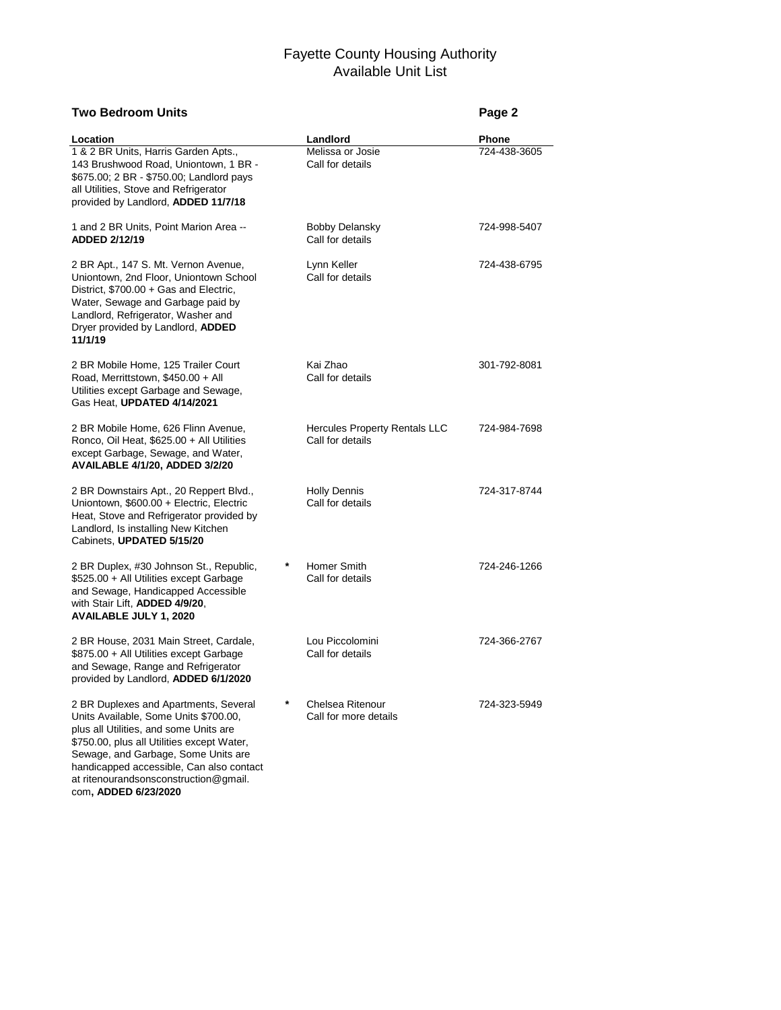### **Two Bedroom Units Page 2**

at ritenourandsonsconstruction@gmail.

com**, ADDED 6/23/2020**

| Location                                                                                                                                                                                                                                                  |   | Landlord                                          | Phone        |
|-----------------------------------------------------------------------------------------------------------------------------------------------------------------------------------------------------------------------------------------------------------|---|---------------------------------------------------|--------------|
| 1 & 2 BR Units, Harris Garden Apts.,<br>143 Brushwood Road, Uniontown, 1 BR -<br>\$675.00; 2 BR - \$750.00; Landlord pays<br>all Utilities, Stove and Refrigerator<br>provided by Landlord, ADDED 11/7/18                                                 |   | Melissa or Josie<br>Call for details              | 724-438-3605 |
| 1 and 2 BR Units, Point Marion Area --<br>ADDED 2/12/19                                                                                                                                                                                                   |   | <b>Bobby Delansky</b><br>Call for details         | 724-998-5407 |
| 2 BR Apt., 147 S. Mt. Vernon Avenue,<br>Uniontown, 2nd Floor, Uniontown School<br>District, \$700.00 + Gas and Electric,<br>Water, Sewage and Garbage paid by<br>Landlord, Refrigerator, Washer and<br>Dryer provided by Landlord, ADDED<br>11/1/19       |   | Lynn Keller<br>Call for details                   | 724-438-6795 |
| 2 BR Mobile Home, 125 Trailer Court<br>Road, Merrittstown, \$450.00 + All<br>Utilities except Garbage and Sewage,<br>Gas Heat, UPDATED 4/14/2021                                                                                                          |   | Kai Zhao<br>Call for details                      | 301-792-8081 |
| 2 BR Mobile Home, 626 Flinn Avenue,<br>Ronco, Oil Heat, \$625.00 + All Utilities<br>except Garbage, Sewage, and Water,<br><b>AVAILABLE 4/1/20, ADDED 3/2/20</b>                                                                                           |   | Hercules Property Rentals LLC<br>Call for details | 724-984-7698 |
| 2 BR Downstairs Apt., 20 Reppert Blvd.,<br>Uniontown, \$600.00 + Electric, Electric<br>Heat, Stove and Refrigerator provided by<br>Landlord, Is installing New Kitchen<br>Cabinets, UPDATED 5/15/20                                                       |   | <b>Holly Dennis</b><br>Call for details           | 724-317-8744 |
| 2 BR Duplex, #30 Johnson St., Republic,<br>\$525.00 + All Utilities except Garbage<br>and Sewage, Handicapped Accessible<br>with Stair Lift, ADDED 4/9/20,<br><b>AVAILABLE JULY 1, 2020</b>                                                               |   | Homer Smith<br>Call for details                   | 724-246-1266 |
| 2 BR House, 2031 Main Street, Cardale,<br>\$875.00 + All Utilities except Garbage<br>and Sewage, Range and Refrigerator<br>provided by Landlord, ADDED 6/1/2020                                                                                           |   | Lou Piccolomini<br>Call for details               | 724-366-2767 |
| 2 BR Duplexes and Apartments, Several<br>Units Available, Some Units \$700.00,<br>plus all Utilities, and some Units are<br>\$750.00, plus all Utilities except Water,<br>Sewage, and Garbage, Some Units are<br>handicapped accessible, Can also contact | * | Chelsea Ritenour<br>Call for more details         | 724-323-5949 |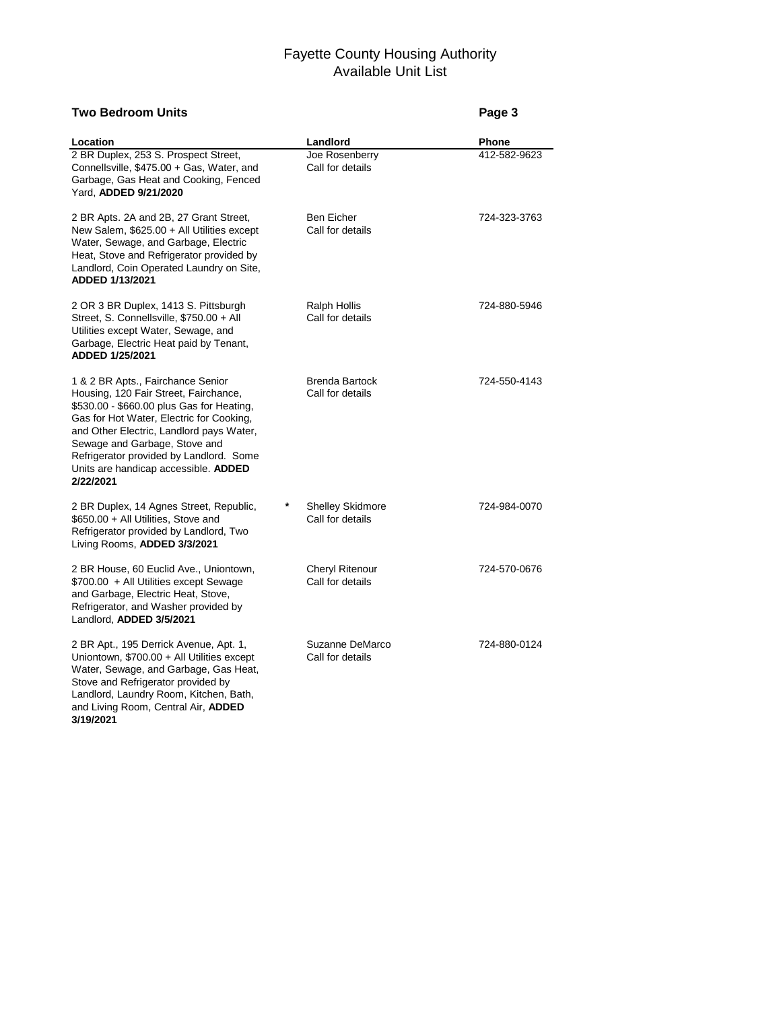### **Two Bedroom Units Page 3**

and Living Room, Central Air, **ADDED**

**3/19/2021**

| Location                                                                                                                                                                                                                                                                                                                                         | Landlord                                    | Phone        |
|--------------------------------------------------------------------------------------------------------------------------------------------------------------------------------------------------------------------------------------------------------------------------------------------------------------------------------------------------|---------------------------------------------|--------------|
| 2 BR Duplex, 253 S. Prospect Street,<br>Connellsville, \$475.00 + Gas, Water, and<br>Garbage, Gas Heat and Cooking, Fenced<br>Yard, ADDED 9/21/2020                                                                                                                                                                                              | Joe Rosenberry<br>Call for details          | 412-582-9623 |
| 2 BR Apts. 2A and 2B, 27 Grant Street,<br>New Salem, \$625.00 + All Utilities except<br>Water, Sewage, and Garbage, Electric<br>Heat, Stove and Refrigerator provided by<br>Landlord, Coin Operated Laundry on Site,<br>ADDED 1/13/2021                                                                                                          | <b>Ben Eicher</b><br>Call for details       | 724-323-3763 |
| 2 OR 3 BR Duplex, 1413 S. Pittsburgh<br>Street, S. Connellsville, \$750.00 + All<br>Utilities except Water, Sewage, and<br>Garbage, Electric Heat paid by Tenant,<br>ADDED 1/25/2021                                                                                                                                                             | Ralph Hollis<br>Call for details            | 724-880-5946 |
| 1 & 2 BR Apts., Fairchance Senior<br>Housing, 120 Fair Street, Fairchance,<br>\$530.00 - \$660.00 plus Gas for Heating,<br>Gas for Hot Water, Electric for Cooking,<br>and Other Electric, Landlord pays Water,<br>Sewage and Garbage, Stove and<br>Refrigerator provided by Landlord. Some<br>Units are handicap accessible. ADDED<br>2/22/2021 | <b>Brenda Bartock</b><br>Call for details   | 724-550-4143 |
| 2 BR Duplex, 14 Agnes Street, Republic,<br>\$650.00 + All Utilities, Stove and<br>Refrigerator provided by Landlord, Two<br>Living Rooms, ADDED 3/3/2021                                                                                                                                                                                         | <b>Shelley Skidmore</b><br>Call for details | 724-984-0070 |
| 2 BR House, 60 Euclid Ave., Uniontown,<br>\$700.00 + All Utilities except Sewage<br>and Garbage, Electric Heat, Stove,<br>Refrigerator, and Washer provided by<br>Landlord, ADDED 3/5/2021                                                                                                                                                       | Cheryl Ritenour<br>Call for details         | 724-570-0676 |
| 2 BR Apt., 195 Derrick Avenue, Apt. 1,<br>Uniontown, \$700.00 + All Utilities except<br>Water, Sewage, and Garbage, Gas Heat,<br>Stove and Refrigerator provided by<br>Landlord, Laundry Room, Kitchen, Bath,                                                                                                                                    | Suzanne DeMarco<br>Call for details         | 724-880-0124 |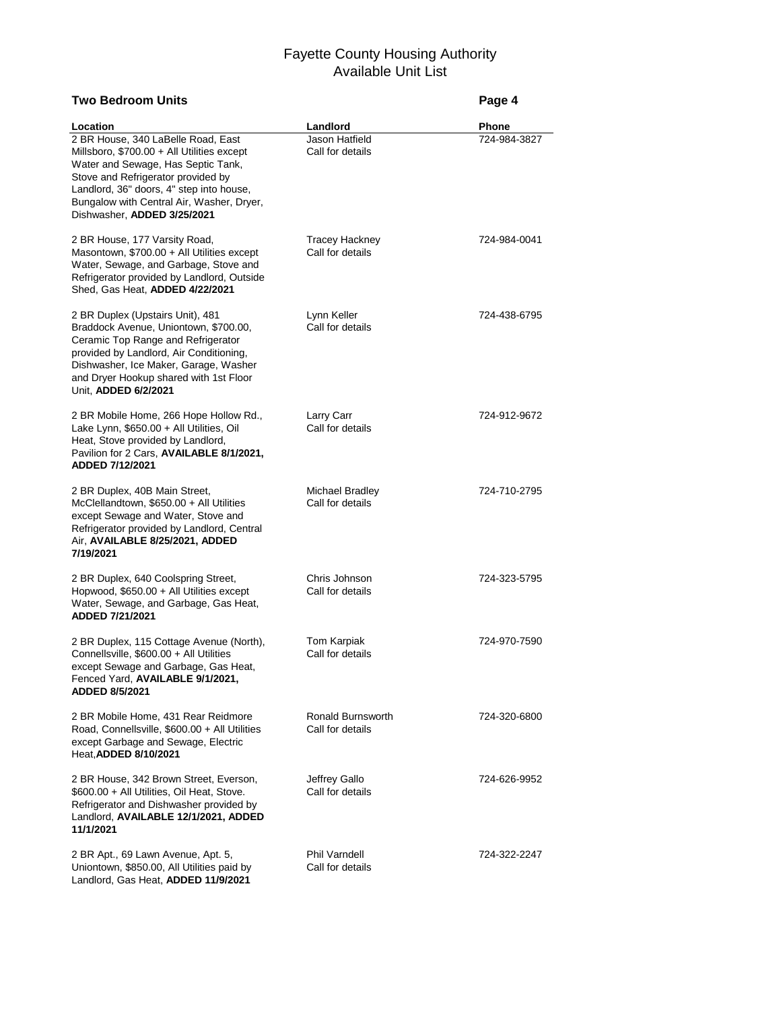| <b>Two Bedroom Units</b>                                                                                                                                                                                                                                                             |                                           | Page 4       |
|--------------------------------------------------------------------------------------------------------------------------------------------------------------------------------------------------------------------------------------------------------------------------------------|-------------------------------------------|--------------|
| Location                                                                                                                                                                                                                                                                             | Landlord                                  | <b>Phone</b> |
| 2 BR House, 340 LaBelle Road, East<br>Millsboro, \$700.00 + All Utilities except<br>Water and Sewage, Has Septic Tank,<br>Stove and Refrigerator provided by<br>Landlord, 36" doors, 4" step into house,<br>Bungalow with Central Air, Washer, Dryer,<br>Dishwasher, ADDED 3/25/2021 | Jason Hatfield<br>Call for details        | 724-984-3827 |
| 2 BR House, 177 Varsity Road,<br>Masontown, \$700.00 + All Utilities except<br>Water, Sewage, and Garbage, Stove and<br>Refrigerator provided by Landlord, Outside<br>Shed, Gas Heat, ADDED 4/22/2021                                                                                | <b>Tracey Hackney</b><br>Call for details | 724-984-0041 |
| 2 BR Duplex (Upstairs Unit), 481<br>Braddock Avenue, Uniontown, \$700.00,<br>Ceramic Top Range and Refrigerator<br>provided by Landlord, Air Conditioning,<br>Dishwasher, Ice Maker, Garage, Washer<br>and Dryer Hookup shared with 1st Floor<br>Unit, ADDED 6/2/2021                | Lynn Keller<br>Call for details           | 724-438-6795 |
| 2 BR Mobile Home, 266 Hope Hollow Rd.,<br>Lake Lynn, \$650.00 + All Utilities, Oil<br>Heat, Stove provided by Landlord,<br>Pavilion for 2 Cars, AVAILABLE 8/1/2021,<br>ADDED 7/12/2021                                                                                               | Larry Carr<br>Call for details            | 724-912-9672 |
| 2 BR Duplex, 40B Main Street,<br>McClellandtown, \$650.00 + All Utilities<br>except Sewage and Water, Stove and<br>Refrigerator provided by Landlord, Central<br>Air, AVAILABLE 8/25/2021, ADDED<br>7/19/2021                                                                        | Michael Bradley<br>Call for details       | 724-710-2795 |
| 2 BR Duplex, 640 Coolspring Street,<br>Hopwood, \$650.00 + All Utilities except<br>Water, Sewage, and Garbage, Gas Heat,<br>ADDED 7/21/2021                                                                                                                                          | Chris Johnson<br>Call for details         | 724-323-5795 |
| 2 BR Duplex, 115 Cottage Avenue (North),<br>Connellsville, \$600.00 + All Utilities<br>except Sewage and Garbage, Gas Heat,<br>Fenced Yard, <b>AVAILABLE 9/1/2021</b> ,<br><b>ADDED 8/5/2021</b>                                                                                     | <b>Tom Karpiak</b><br>Call for details    | 724-970-7590 |
| 2 BR Mobile Home, 431 Rear Reidmore<br>Road, Connellsville, \$600.00 + All Utilities<br>except Garbage and Sewage, Electric<br>Heat, ADDED 8/10/2021                                                                                                                                 | Ronald Burnsworth<br>Call for details     | 724-320-6800 |
| 2 BR House, 342 Brown Street, Everson,<br>\$600.00 + All Utilities, Oil Heat, Stove.<br>Refrigerator and Dishwasher provided by<br>Landlord, AVAILABLE 12/1/2021, ADDED<br>11/1/2021                                                                                                 | Jeffrey Gallo<br>Call for details         | 724-626-9952 |
| 2 BR Apt., 69 Lawn Avenue, Apt. 5,<br>Uniontown, \$850.00, All Utilities paid by<br>Landlord, Gas Heat, ADDED 11/9/2021                                                                                                                                                              | <b>Phil Varndell</b><br>Call for details  | 724-322-2247 |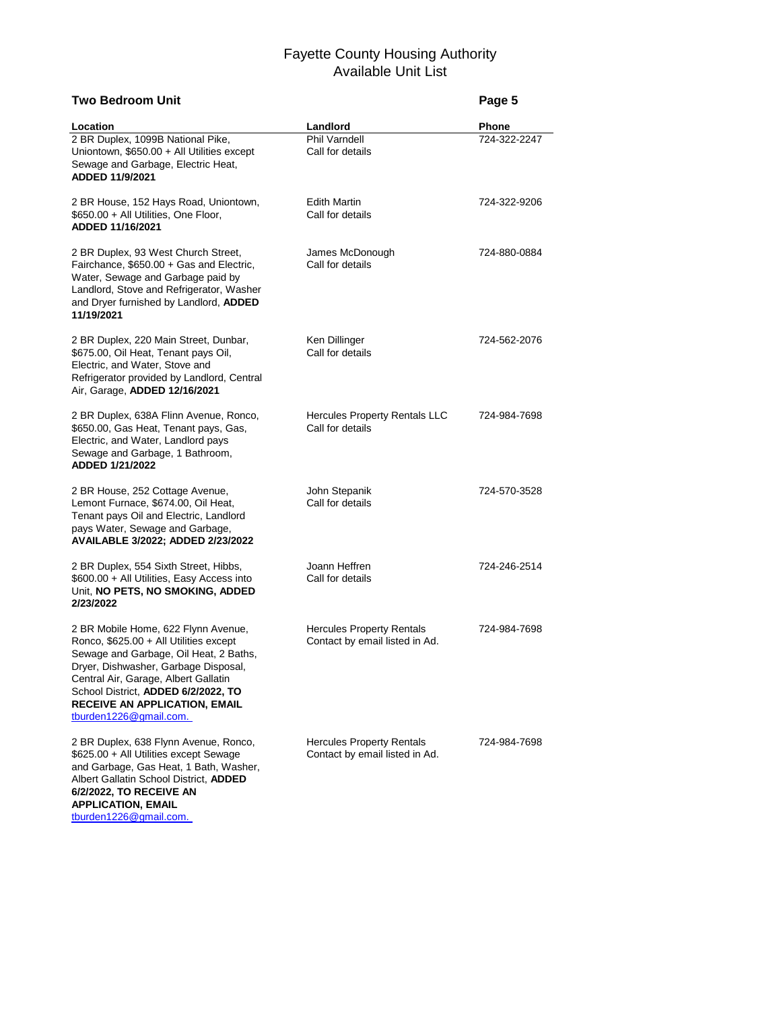| Two Bedroom Unit                                                                                                                                                                                                                                                                                                |                                                                    | Page 5       |
|-----------------------------------------------------------------------------------------------------------------------------------------------------------------------------------------------------------------------------------------------------------------------------------------------------------------|--------------------------------------------------------------------|--------------|
| Location                                                                                                                                                                                                                                                                                                        | Landlord                                                           | Phone        |
| 2 BR Duplex, 1099B National Pike,<br>Uniontown, \$650.00 + All Utilities except<br>Sewage and Garbage, Electric Heat,<br>ADDED 11/9/2021                                                                                                                                                                        | <b>Phil Varndell</b><br>Call for details                           | 724-322-2247 |
| 2 BR House, 152 Hays Road, Uniontown,<br>\$650.00 + All Utilities, One Floor,<br>ADDED 11/16/2021                                                                                                                                                                                                               | <b>Edith Martin</b><br>Call for details                            | 724-322-9206 |
| 2 BR Duplex, 93 West Church Street,<br>Fairchance, \$650.00 + Gas and Electric,<br>Water, Sewage and Garbage paid by<br>Landlord, Stove and Refrigerator, Washer<br>and Dryer furnished by Landlord, ADDED<br>11/19/2021                                                                                        | James McDonough<br>Call for details                                | 724-880-0884 |
| 2 BR Duplex, 220 Main Street, Dunbar,<br>\$675.00, Oil Heat, Tenant pays Oil,<br>Electric, and Water, Stove and<br>Refrigerator provided by Landlord, Central<br>Air, Garage, ADDED 12/16/2021                                                                                                                  | Ken Dillinger<br>Call for details                                  | 724-562-2076 |
| 2 BR Duplex, 638A Flinn Avenue, Ronco,<br>\$650.00, Gas Heat, Tenant pays, Gas,<br>Electric, and Water, Landlord pays<br>Sewage and Garbage, 1 Bathroom,<br>ADDED 1/21/2022                                                                                                                                     | <b>Hercules Property Rentals LLC</b><br>Call for details           | 724-984-7698 |
| 2 BR House, 252 Cottage Avenue,<br>Lemont Furnace, \$674.00, Oil Heat,<br>Tenant pays Oil and Electric, Landlord<br>pays Water, Sewage and Garbage,<br>AVAILABLE 3/2022; ADDED 2/23/2022                                                                                                                        | John Stepanik<br>Call for details                                  | 724-570-3528 |
| 2 BR Duplex, 554 Sixth Street, Hibbs,<br>\$600.00 + All Utilities, Easy Access into<br>Unit, NO PETS, NO SMOKING, ADDED<br>2/23/2022                                                                                                                                                                            | Joann Heffren<br>Call for details                                  | 724-246-2514 |
| 2 BR Mobile Home, 622 Flynn Avenue,<br>Ronco, $$625.00 + All Utility except$<br>Sewage and Garbage, Oil Heat, 2 Baths,<br>Dryer, Dishwasher, Garbage Disposal,<br>Central Air, Garage, Albert Gallatin<br>School District, ADDED 6/2/2022, TO<br><b>RECEIVE AN APPLICATION, EMAIL</b><br>tburden1226@gmail.com. | <b>Hercules Property Rentals</b><br>Contact by email listed in Ad. | 724-984-7698 |
| 2 BR Duplex, 638 Flynn Avenue, Ronco,<br>\$625.00 + All Utilities except Sewage<br>and Garbage, Gas Heat, 1 Bath, Washer,<br>Albert Gallatin School District, ADDED<br>6/2/2022, TO RECEIVE AN<br><b>APPLICATION, EMAIL</b>                                                                                     | <b>Hercules Property Rentals</b><br>Contact by email listed in Ad. | 724-984-7698 |

[tburden1226@gmail.com.](mailto:tburden1226@gmail.com.)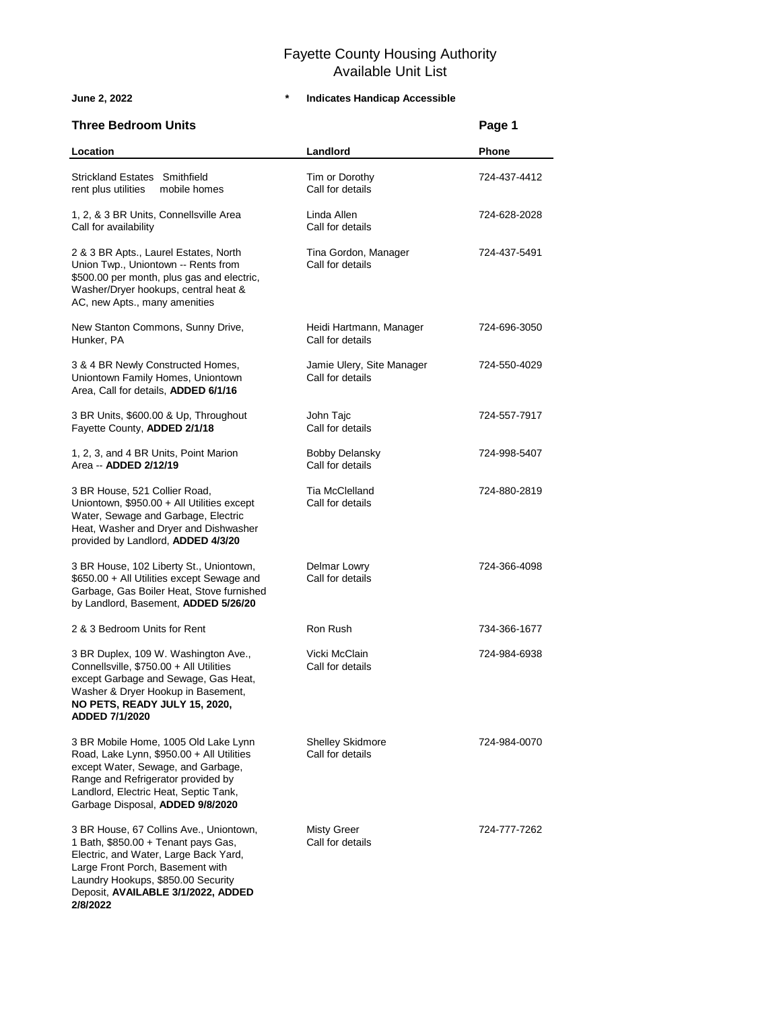**2/8/2022**

| <b>Three Bedroom Units</b>                                                                                                                                                                                                                 |                                               | Page 1       |
|--------------------------------------------------------------------------------------------------------------------------------------------------------------------------------------------------------------------------------------------|-----------------------------------------------|--------------|
| Location                                                                                                                                                                                                                                   | Landlord                                      | <b>Phone</b> |
| Strickland Estates Smithfield<br>rent plus utilities<br>mobile homes                                                                                                                                                                       | Tim or Dorothy<br>Call for details            | 724-437-4412 |
| 1, 2, & 3 BR Units, Connellsville Area<br>Call for availability                                                                                                                                                                            | Linda Allen<br>Call for details               | 724-628-2028 |
| 2 & 3 BR Apts., Laurel Estates, North<br>Union Twp., Uniontown -- Rents from<br>\$500.00 per month, plus gas and electric,<br>Washer/Dryer hookups, central heat &<br>AC, new Apts., many amenities                                        | Tina Gordon, Manager<br>Call for details      | 724-437-5491 |
| New Stanton Commons, Sunny Drive,<br>Hunker, PA                                                                                                                                                                                            | Heidi Hartmann, Manager<br>Call for details   | 724-696-3050 |
| 3 & 4 BR Newly Constructed Homes,<br>Uniontown Family Homes, Uniontown<br>Area, Call for details, ADDED 6/1/16                                                                                                                             | Jamie Ulery, Site Manager<br>Call for details | 724-550-4029 |
| 3 BR Units, \$600.00 & Up, Throughout<br>Fayette County, ADDED 2/1/18                                                                                                                                                                      | John Tajc<br>Call for details                 | 724-557-7917 |
| 1, 2, 3, and 4 BR Units, Point Marion<br>Area -- ADDED 2/12/19                                                                                                                                                                             | <b>Bobby Delansky</b><br>Call for details     | 724-998-5407 |
| 3 BR House, 521 Collier Road,<br>Uniontown, \$950.00 + All Utilities except<br>Water, Sewage and Garbage, Electric<br>Heat, Washer and Dryer and Dishwasher<br>provided by Landlord, ADDED 4/3/20                                          | Tia McClelland<br>Call for details            | 724-880-2819 |
| 3 BR House, 102 Liberty St., Uniontown,<br>\$650.00 + All Utilities except Sewage and<br>Garbage, Gas Boiler Heat, Stove furnished<br>by Landlord, Basement, ADDED 5/26/20                                                                 | Delmar Lowry<br>Call for details              | 724-366-4098 |
| 2 & 3 Bedroom Units for Rent                                                                                                                                                                                                               | Ron Rush                                      | 734-366-1677 |
| 3 BR Duplex, 109 W. Washington Ave.,<br>Connellsville, \$750.00 + All Utilities<br>except Garbage and Sewage, Gas Heat,<br>Washer & Dryer Hookup in Basement,<br>NO PETS, READY JULY 15, 2020,<br><b>ADDED 7/1/2020</b>                    | Vicki McClain<br>Call for details             | 724-984-6938 |
| 3 BR Mobile Home, 1005 Old Lake Lynn<br>Road, Lake Lynn, \$950.00 + All Utilities<br>except Water, Sewage, and Garbage,<br>Range and Refrigerator provided by<br>Landlord, Electric Heat, Septic Tank,<br>Garbage Disposal, ADDED 9/8/2020 | <b>Shelley Skidmore</b><br>Call for details   | 724-984-0070 |
| 3 BR House, 67 Collins Ave., Uniontown,<br>1 Bath, \$850.00 + Tenant pays Gas,<br>Electric, and Water, Large Back Yard,<br>Large Front Porch, Basement with<br>Laundry Hookups, \$850.00 Security<br>Deposit, AVAILABLE 3/1/2022, ADDED    | <b>Misty Greer</b><br>Call for details        | 724-777-7262 |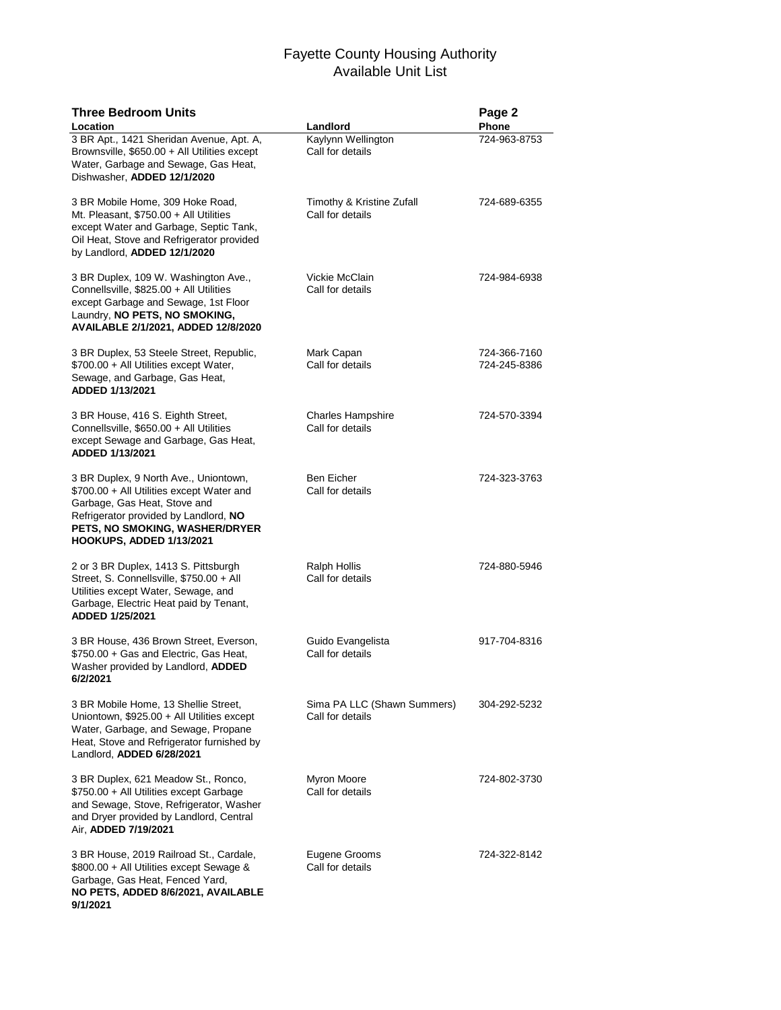| <b>Three Bedroom Units</b><br>Location                                                                                                                                                                                           | Landlord                                        | Page 2<br>Phone              |
|----------------------------------------------------------------------------------------------------------------------------------------------------------------------------------------------------------------------------------|-------------------------------------------------|------------------------------|
| 3 BR Apt., 1421 Sheridan Avenue, Apt. A,<br>Brownsville, \$650.00 + All Utilities except<br>Water, Garbage and Sewage, Gas Heat,<br>Dishwasher, ADDED 12/1/2020                                                                  | Kaylynn Wellington<br>Call for details          | 724-963-8753                 |
| 3 BR Mobile Home, 309 Hoke Road,<br>Mt. Pleasant, \$750.00 + All Utilities<br>except Water and Garbage, Septic Tank,<br>Oil Heat, Stove and Refrigerator provided<br>by Landlord, ADDED 12/1/2020                                | Timothy & Kristine Zufall<br>Call for details   | 724-689-6355                 |
| 3 BR Duplex, 109 W. Washington Ave.,<br>Connellsville, \$825.00 + All Utilities<br>except Garbage and Sewage, 1st Floor<br>Laundry, NO PETS, NO SMOKING,<br>AVAILABLE 2/1/2021, ADDED 12/8/2020                                  | Vickie McClain<br>Call for details              | 724-984-6938                 |
| 3 BR Duplex, 53 Steele Street, Republic,<br>\$700.00 + All Utilities except Water,<br>Sewage, and Garbage, Gas Heat,<br>ADDED 1/13/2021                                                                                          | Mark Capan<br>Call for details                  | 724-366-7160<br>724-245-8386 |
| 3 BR House, 416 S. Eighth Street,<br>Connellsville, \$650.00 + All Utilities<br>except Sewage and Garbage, Gas Heat,<br>ADDED 1/13/2021                                                                                          | <b>Charles Hampshire</b><br>Call for details    | 724-570-3394                 |
| 3 BR Duplex, 9 North Ave., Uniontown,<br>\$700.00 + All Utilities except Water and<br>Garbage, Gas Heat, Stove and<br>Refrigerator provided by Landlord, NO<br>PETS, NO SMOKING, WASHER/DRYER<br><b>HOOKUPS, ADDED 1/13/2021</b> | <b>Ben Eicher</b><br>Call for details           | 724-323-3763                 |
| 2 or 3 BR Duplex, 1413 S. Pittsburgh<br>Street, S. Connellsville, \$750.00 + All<br>Utilities except Water, Sewage, and<br>Garbage, Electric Heat paid by Tenant,<br>ADDED 1/25/2021                                             | Ralph Hollis<br>Call for details                | 724-880-5946                 |
| 3 BR House, 436 Brown Street, Everson,<br>\$750.00 + Gas and Electric, Gas Heat,<br>Washer provided by Landlord, ADDED<br>6/2/2021                                                                                               | Guido Evangelista<br>Call for details           | 917-704-8316                 |
| 3 BR Mobile Home, 13 Shellie Street,<br>Uniontown, \$925.00 + All Utilities except<br>Water, Garbage, and Sewage, Propane<br>Heat, Stove and Refrigerator furnished by<br>Landlord, ADDED 6/28/2021                              | Sima PA LLC (Shawn Summers)<br>Call for details | 304-292-5232                 |
| 3 BR Duplex, 621 Meadow St., Ronco,<br>\$750.00 + All Utilities except Garbage<br>and Sewage, Stove, Refrigerator, Washer<br>and Dryer provided by Landlord, Central<br>Air, ADDED 7/19/2021                                     | Myron Moore<br>Call for details                 | 724-802-3730                 |
| 3 BR House, 2019 Railroad St., Cardale,<br>\$800.00 + All Utilities except Sewage &<br>Garbage, Gas Heat, Fenced Yard,<br>NO PETS, ADDED 8/6/2021, AVAILABLE<br>9/1/2021                                                         | Eugene Grooms<br>Call for details               | 724-322-8142                 |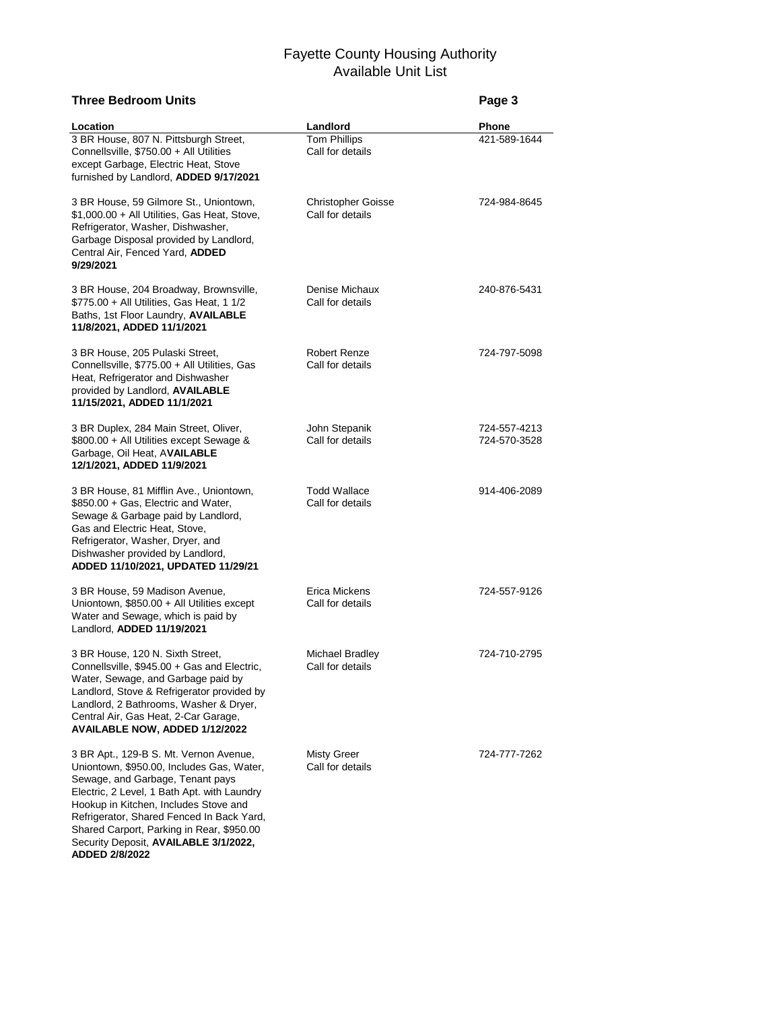| <b>Three Bedroom Units</b>                                                                                                                                                                                                                                                                                |                                               | Page 3                       |
|-----------------------------------------------------------------------------------------------------------------------------------------------------------------------------------------------------------------------------------------------------------------------------------------------------------|-----------------------------------------------|------------------------------|
| Location                                                                                                                                                                                                                                                                                                  | Landlord                                      | Phone                        |
| 3 BR House, 807 N. Pittsburgh Street,<br>Connellsville, \$750.00 + All Utilities<br>except Garbage, Electric Heat, Stove<br>furnished by Landlord, ADDED 9/17/2021                                                                                                                                        | <b>Tom Phillips</b><br>Call for details       | 421-589-1644                 |
| 3 BR House, 59 Gilmore St., Uniontown,<br>\$1,000.00 + All Utilities, Gas Heat, Stove,<br>Refrigerator, Washer, Dishwasher,<br>Garbage Disposal provided by Landlord,<br>Central Air, Fenced Yard, ADDED<br>9/29/2021                                                                                     | <b>Christopher Goisse</b><br>Call for details | 724-984-8645                 |
| 3 BR House, 204 Broadway, Brownsville,<br>\$775.00 + All Utilities, Gas Heat, 1 1/2<br>Baths, 1st Floor Laundry, AVAILABLE<br>11/8/2021, ADDED 11/1/2021                                                                                                                                                  | Denise Michaux<br>Call for details            | 240-876-5431                 |
| 3 BR House, 205 Pulaski Street,<br>Connellsville, \$775.00 + All Utilities, Gas<br>Heat, Refrigerator and Dishwasher<br>provided by Landlord, AVAILABLE<br>11/15/2021, ADDED 11/1/2021                                                                                                                    | Robert Renze<br>Call for details              | 724-797-5098                 |
| 3 BR Duplex, 284 Main Street, Oliver,<br>\$800.00 + All Utilities except Sewage &<br>Garbage, Oil Heat, AVAILABLE<br>12/1/2021, ADDED 11/9/2021                                                                                                                                                           | John Stepanik<br>Call for details             | 724-557-4213<br>724-570-3528 |
| 3 BR House, 81 Mifflin Ave., Uniontown,<br>\$850.00 + Gas, Electric and Water,<br>Sewage & Garbage paid by Landlord,<br>Gas and Electric Heat, Stove,<br>Refrigerator, Washer, Dryer, and<br>Dishwasher provided by Landlord,<br>ADDED 11/10/2021, UPDATED 11/29/21                                       | <b>Todd Wallace</b><br>Call for details       | 914-406-2089                 |
| 3 BR House, 59 Madison Avenue,<br>Uniontown, \$850.00 + All Utilities except<br>Water and Sewage, which is paid by<br>Landlord, ADDED 11/19/2021                                                                                                                                                          | Erica Mickens<br>Call for details             | 724-557-9126                 |
| 3 BR House, 120 N. Sixth Street,<br>Connellsville, \$945.00 + Gas and Electric,<br>Water, Sewage, and Garbage paid by<br>Landlord, Stove & Refrigerator provided by<br>Landlord, 2 Bathrooms, Washer & Dryer,<br>Central Air, Gas Heat, 2-Car Garage,<br>AVAILABLE NOW, ADDED 1/12/2022                   | Michael Bradley<br>Call for details           | 724-710-2795                 |
| 3 BR Apt., 129-B S. Mt. Vernon Avenue,<br>Uniontown, \$950.00, Includes Gas, Water,<br>Sewage, and Garbage, Tenant pays<br>Electric, 2 Level, 1 Bath Apt. with Laundry<br>Hookup in Kitchen, Includes Stove and<br>Refrigerator, Shared Fenced In Back Yard,<br>Shared Carport, Parking in Rear, \$950.00 | Misty Greer<br>Call for details               | 724-777-7262                 |

Security Deposit, **AVAILABLE 3/1/2022, ADDED 2/8/2022**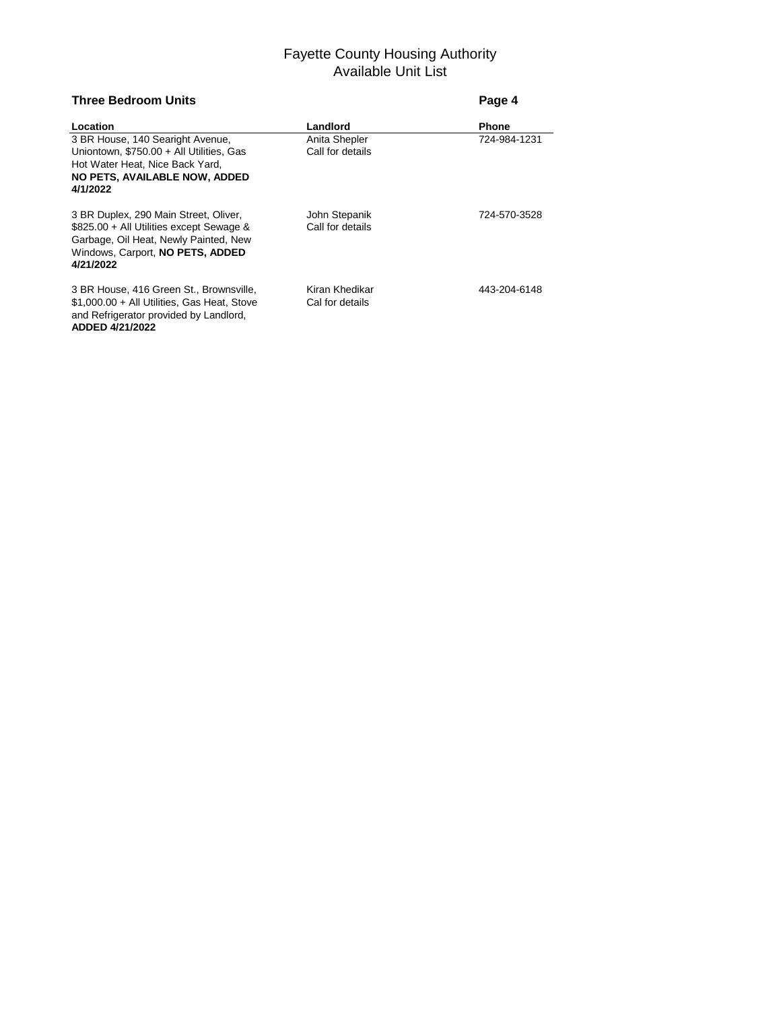| <b>Three Bedroom Units</b>                                                                                                                                                  | Page 4                            |              |
|-----------------------------------------------------------------------------------------------------------------------------------------------------------------------------|-----------------------------------|--------------|
| Location                                                                                                                                                                    | Landlord                          | <b>Phone</b> |
| 3 BR House, 140 Searight Avenue,<br>Uniontown, \$750.00 + All Utilities, Gas<br>Hot Water Heat, Nice Back Yard,<br>NO PETS, AVAILABLE NOW, ADDED<br>4/1/2022                | Anita Shepler<br>Call for details | 724-984-1231 |
| 3 BR Duplex, 290 Main Street, Oliver,<br>\$825.00 + All Utilities except Sewage &<br>Garbage, Oil Heat, Newly Painted, New<br>Windows, Carport, NO PETS, ADDED<br>4/21/2022 | John Stepanik<br>Call for details | 724-570-3528 |
| 3 BR House, 416 Green St., Brownsville,<br>$$1,000.00 + Al$ Utilities, Gas Heat, Stove<br>and Refrigerator provided by Landlord,<br>ADDED 4/21/2022                         | Kiran Khedikar<br>Cal for details | 443-204-6148 |